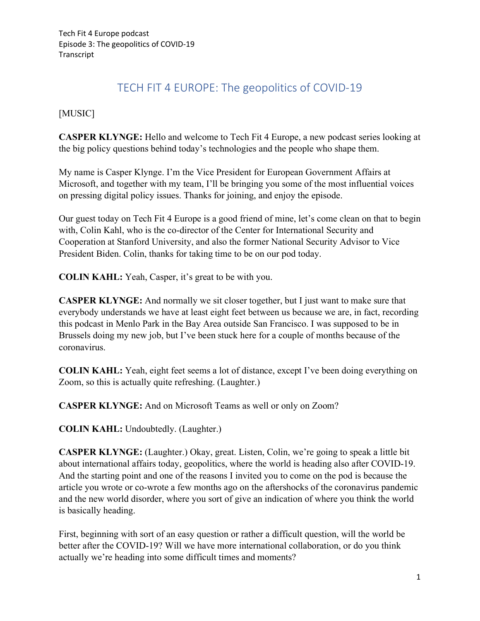## TECH FIT 4 EUROPE: The geopolitics of COVID-19

## [MUSIC]

**CASPER KLYNGE:** Hello and welcome to Tech Fit 4 Europe, a new podcast series looking at the big policy questions behind today's technologies and the people who shape them.

My name is Casper Klynge. I'm the Vice President for European Government Affairs at Microsoft, and together with my team, I'll be bringing you some of the most influential voices on pressing digital policy issues. Thanks for joining, and enjoy the episode.

Our guest today on Tech Fit 4 Europe is a good friend of mine, let's come clean on that to begin with, Colin Kahl, who is the co-director of the Center for International Security and Cooperation at Stanford University, and also the former National Security Advisor to Vice President Biden. Colin, thanks for taking time to be on our pod today.

**COLIN KAHL:** Yeah, Casper, it's great to be with you.

**CASPER KLYNGE:** And normally we sit closer together, but I just want to make sure that everybody understands we have at least eight feet between us because we are, in fact, recording this podcast in Menlo Park in the Bay Area outside San Francisco. I was supposed to be in Brussels doing my new job, but I've been stuck here for a couple of months because of the coronavirus.

**COLIN KAHL:** Yeah, eight feet seems a lot of distance, except I've been doing everything on Zoom, so this is actually quite refreshing. (Laughter.)

**CASPER KLYNGE:** And on Microsoft Teams as well or only on Zoom?

**COLIN KAHL:** Undoubtedly. (Laughter.)

**CASPER KLYNGE:** (Laughter.) Okay, great. Listen, Colin, we're going to speak a little bit about international affairs today, geopolitics, where the world is heading also after COVID-19. And the starting point and one of the reasons I invited you to come on the pod is because the article you wrote or co-wrote a few months ago on the aftershocks of the coronavirus pandemic and the new world disorder, where you sort of give an indication of where you think the world is basically heading.

First, beginning with sort of an easy question or rather a difficult question, will the world be better after the COVID-19? Will we have more international collaboration, or do you think actually we're heading into some difficult times and moments?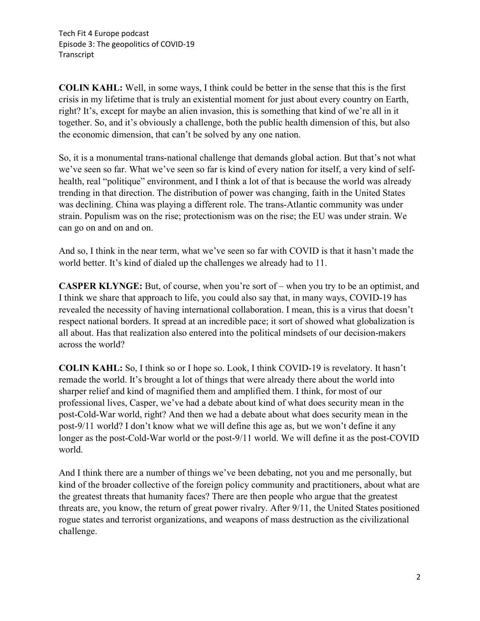**COLIN KAHL:** Well, in some ways, I think could be better in the sense that this is the first crisis in my lifetime that is truly an existential moment for just about every country on Earth, right? It's, except for maybe an alien invasion, this is something that kind of we're all in it together. So, and it's obviously a challenge, both the public health dimension of this, but also the economic dimension, that can't be solved by any one nation.

So, it is a monumental trans-national challenge that demands global action. But that's not what we've seen so far. What we've seen so far is kind of every nation for itself, a very kind of selfhealth, real "politique" environment, and I think a lot of that is because the world was already trending in that direction. The distribution of power was changing, faith in the United States was declining. China was playing a different role. The trans-Atlantic community was under strain. Populism was on the rise; protectionism was on the rise; the EU was under strain. We can go on and on and on.

And so, I think in the near term, what we've seen so far with COVID is that it hasn't made the world better. It's kind of dialed up the challenges we already had to 11.

**CASPER KLYNGE:** But, of course, when you're sort of – when you try to be an optimist, and I think we share that approach to life, you could also say that, in many ways, COVID-19 has revealed the necessity of having international collaboration. I mean, this is a virus that doesn't respect national borders. It spread at an incredible pace; it sort of showed what globalization is all about. Has that realization also entered into the political mindsets of our decision-makers across the world?

**COLIN KAHL:** So, I think so or I hope so. Look, I think COVID-19 is revelatory. It hasn't remade the world. It's brought a lot of things that were already there about the world into sharper relief and kind of magnified them and amplified them. I think, for most of our professional lives, Casper, we've had a debate about kind of what does security mean in the post-Cold-War world, right? And then we had a debate about what does security mean in the post-9/11 world? I don't know what we will define this age as, but we won't define it any longer as the post-Cold-War world or the post-9/11 world. We will define it as the post-COVID world.

And I think there are a number of things we've been debating, not you and me personally, but kind of the broader collective of the foreign policy community and practitioners, about what are the greatest threats that humanity faces? There are then people who argue that the greatest threats are, you know, the return of great power rivalry. After 9/11, the United States positioned rogue states and terrorist organizations, and weapons of mass destruction as the civilizational challenge.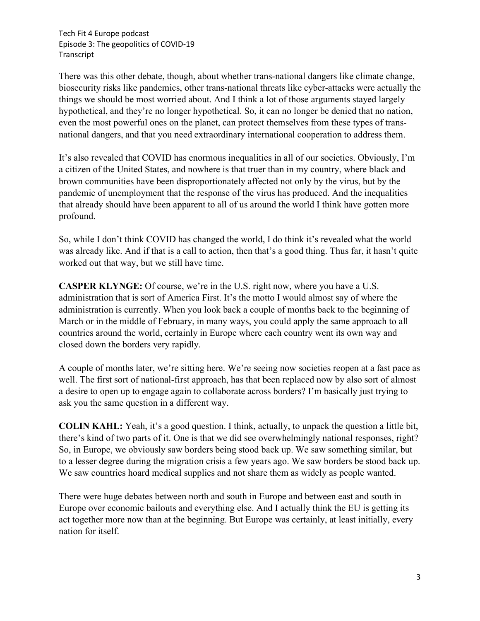There was this other debate, though, about whether trans-national dangers like climate change, biosecurity risks like pandemics, other trans-national threats like cyber-attacks were actually the things we should be most worried about. And I think a lot of those arguments stayed largely hypothetical, and they're no longer hypothetical. So, it can no longer be denied that no nation, even the most powerful ones on the planet, can protect themselves from these types of transnational dangers, and that you need extraordinary international cooperation to address them.

It's also revealed that COVID has enormous inequalities in all of our societies. Obviously, I'm a citizen of the United States, and nowhere is that truer than in my country, where black and brown communities have been disproportionately affected not only by the virus, but by the pandemic of unemployment that the response of the virus has produced. And the inequalities that already should have been apparent to all of us around the world I think have gotten more profound.

So, while I don't think COVID has changed the world, I do think it's revealed what the world was already like. And if that is a call to action, then that's a good thing. Thus far, it hasn't quite worked out that way, but we still have time.

**CASPER KLYNGE:** Of course, we're in the U.S. right now, where you have a U.S. administration that is sort of America First. It's the motto I would almost say of where the administration is currently. When you look back a couple of months back to the beginning of March or in the middle of February, in many ways, you could apply the same approach to all countries around the world, certainly in Europe where each country went its own way and closed down the borders very rapidly.

A couple of months later, we're sitting here. We're seeing now societies reopen at a fast pace as well. The first sort of national-first approach, has that been replaced now by also sort of almost a desire to open up to engage again to collaborate across borders? I'm basically just trying to ask you the same question in a different way.

**COLIN KAHL:** Yeah, it's a good question. I think, actually, to unpack the question a little bit, there's kind of two parts of it. One is that we did see overwhelmingly national responses, right? So, in Europe, we obviously saw borders being stood back up. We saw something similar, but to a lesser degree during the migration crisis a few years ago. We saw borders be stood back up. We saw countries hoard medical supplies and not share them as widely as people wanted.

There were huge debates between north and south in Europe and between east and south in Europe over economic bailouts and everything else. And I actually think the EU is getting its act together more now than at the beginning. But Europe was certainly, at least initially, every nation for itself.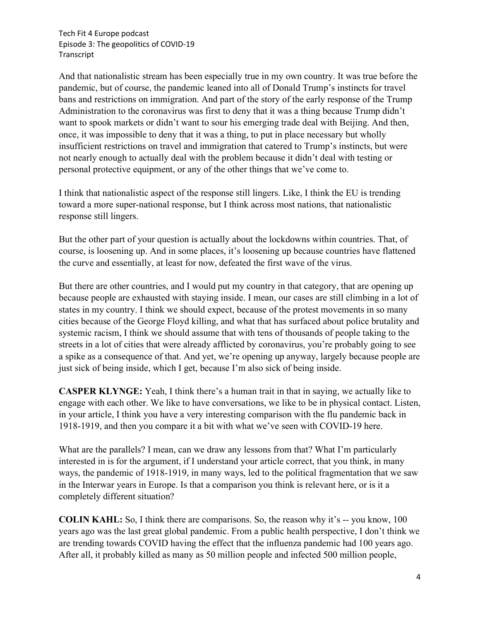And that nationalistic stream has been especially true in my own country. It was true before the pandemic, but of course, the pandemic leaned into all of Donald Trump's instincts for travel bans and restrictions on immigration. And part of the story of the early response of the Trump Administration to the coronavirus was first to deny that it was a thing because Trump didn't want to spook markets or didn't want to sour his emerging trade deal with Beijing. And then, once, it was impossible to deny that it was a thing, to put in place necessary but wholly insufficient restrictions on travel and immigration that catered to Trump's instincts, but were not nearly enough to actually deal with the problem because it didn't deal with testing or personal protective equipment, or any of the other things that we've come to.

I think that nationalistic aspect of the response still lingers. Like, I think the EU is trending toward a more super-national response, but I think across most nations, that nationalistic response still lingers.

But the other part of your question is actually about the lockdowns within countries. That, of course, is loosening up. And in some places, it's loosening up because countries have flattened the curve and essentially, at least for now, defeated the first wave of the virus.

But there are other countries, and I would put my country in that category, that are opening up because people are exhausted with staying inside. I mean, our cases are still climbing in a lot of states in my country. I think we should expect, because of the protest movements in so many cities because of the George Floyd killing, and what that has surfaced about police brutality and systemic racism, I think we should assume that with tens of thousands of people taking to the streets in a lot of cities that were already afflicted by coronavirus, you're probably going to see a spike as a consequence of that. And yet, we're opening up anyway, largely because people are just sick of being inside, which I get, because I'm also sick of being inside.

**CASPER KLYNGE:** Yeah, I think there's a human trait in that in saying, we actually like to engage with each other. We like to have conversations, we like to be in physical contact. Listen, in your article, I think you have a very interesting comparison with the flu pandemic back in 1918-1919, and then you compare it a bit with what we've seen with COVID-19 here.

What are the parallels? I mean, can we draw any lessons from that? What I'm particularly interested in is for the argument, if I understand your article correct, that you think, in many ways, the pandemic of 1918-1919, in many ways, led to the political fragmentation that we saw in the Interwar years in Europe. Is that a comparison you think is relevant here, or is it a completely different situation?

**COLIN KAHL:** So, I think there are comparisons. So, the reason why it's -- you know, 100 years ago was the last great global pandemic. From a public health perspective, I don't think we are trending towards COVID having the effect that the influenza pandemic had 100 years ago. After all, it probably killed as many as 50 million people and infected 500 million people,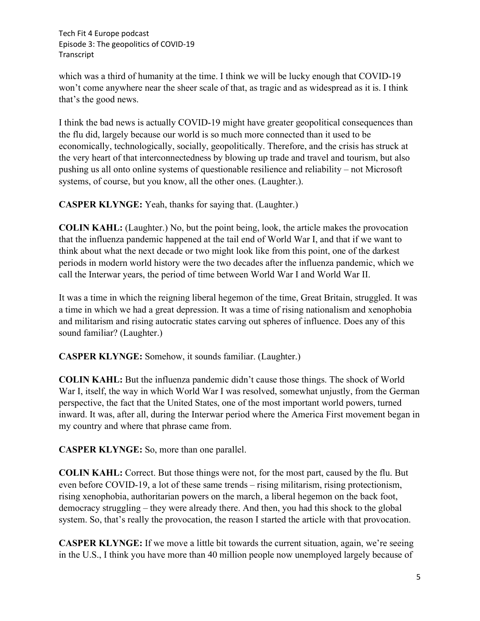which was a third of humanity at the time. I think we will be lucky enough that COVID-19 won't come anywhere near the sheer scale of that, as tragic and as widespread as it is. I think that's the good news.

I think the bad news is actually COVID-19 might have greater geopolitical consequences than the flu did, largely because our world is so much more connected than it used to be economically, technologically, socially, geopolitically. Therefore, and the crisis has struck at the very heart of that interconnectedness by blowing up trade and travel and tourism, but also pushing us all onto online systems of questionable resilience and reliability – not Microsoft systems, of course, but you know, all the other ones. (Laughter.).

**CASPER KLYNGE:** Yeah, thanks for saying that. (Laughter.)

**COLIN KAHL:** (Laughter.) No, but the point being, look, the article makes the provocation that the influenza pandemic happened at the tail end of World War I, and that if we want to think about what the next decade or two might look like from this point, one of the darkest periods in modern world history were the two decades after the influenza pandemic, which we call the Interwar years, the period of time between World War I and World War II.

It was a time in which the reigning liberal hegemon of the time, Great Britain, struggled. It was a time in which we had a great depression. It was a time of rising nationalism and xenophobia and militarism and rising autocratic states carving out spheres of influence. Does any of this sound familiar? (Laughter.)

**CASPER KLYNGE:** Somehow, it sounds familiar. (Laughter.)

**COLIN KAHL:** But the influenza pandemic didn't cause those things. The shock of World War I, itself, the way in which World War I was resolved, somewhat unjustly, from the German perspective, the fact that the United States, one of the most important world powers, turned inward. It was, after all, during the Interwar period where the America First movement began in my country and where that phrase came from.

**CASPER KLYNGE:** So, more than one parallel.

**COLIN KAHL:** Correct. But those things were not, for the most part, caused by the flu. But even before COVID-19, a lot of these same trends – rising militarism, rising protectionism, rising xenophobia, authoritarian powers on the march, a liberal hegemon on the back foot, democracy struggling – they were already there. And then, you had this shock to the global system. So, that's really the provocation, the reason I started the article with that provocation.

**CASPER KLYNGE:** If we move a little bit towards the current situation, again, we're seeing in the U.S., I think you have more than 40 million people now unemployed largely because of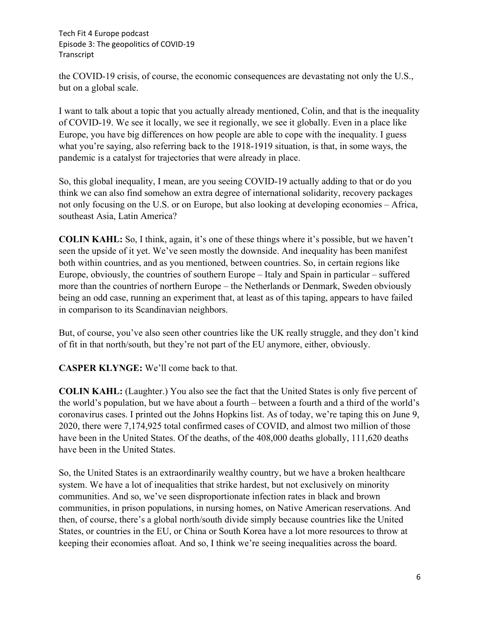the COVID-19 crisis, of course, the economic consequences are devastating not only the U.S., but on a global scale.

I want to talk about a topic that you actually already mentioned, Colin, and that is the inequality of COVID-19. We see it locally, we see it regionally, we see it globally. Even in a place like Europe, you have big differences on how people are able to cope with the inequality. I guess what you're saying, also referring back to the 1918-1919 situation, is that, in some ways, the pandemic is a catalyst for trajectories that were already in place.

So, this global inequality, I mean, are you seeing COVID-19 actually adding to that or do you think we can also find somehow an extra degree of international solidarity, recovery packages not only focusing on the U.S. or on Europe, but also looking at developing economies – Africa, southeast Asia, Latin America?

**COLIN KAHL:** So, I think, again, it's one of these things where it's possible, but we haven't seen the upside of it yet. We've seen mostly the downside. And inequality has been manifest both within countries, and as you mentioned, between countries. So, in certain regions like Europe, obviously, the countries of southern Europe – Italy and Spain in particular – suffered more than the countries of northern Europe – the Netherlands or Denmark, Sweden obviously being an odd case, running an experiment that, at least as of this taping, appears to have failed in comparison to its Scandinavian neighbors.

But, of course, you've also seen other countries like the UK really struggle, and they don't kind of fit in that north/south, but they're not part of the EU anymore, either, obviously.

**CASPER KLYNGE:** We'll come back to that.

**COLIN KAHL:** (Laughter.) You also see the fact that the United States is only five percent of the world's population, but we have about a fourth – between a fourth and a third of the world's coronavirus cases. I printed out the Johns Hopkins list. As of today, we're taping this on June 9, 2020, there were 7,174,925 total confirmed cases of COVID, and almost two million of those have been in the United States. Of the deaths, of the 408,000 deaths globally, 111,620 deaths have been in the United States.

So, the United States is an extraordinarily wealthy country, but we have a broken healthcare system. We have a lot of inequalities that strike hardest, but not exclusively on minority communities. And so, we've seen disproportionate infection rates in black and brown communities, in prison populations, in nursing homes, on Native American reservations. And then, of course, there's a global north/south divide simply because countries like the United States, or countries in the EU, or China or South Korea have a lot more resources to throw at keeping their economies afloat. And so, I think we're seeing inequalities across the board.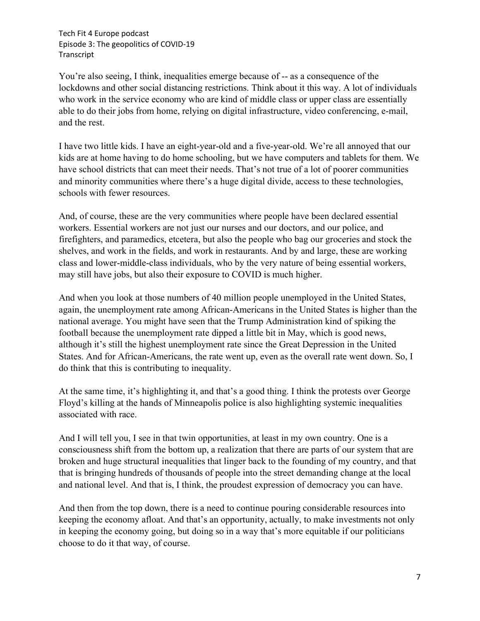You're also seeing, I think, inequalities emerge because of -- as a consequence of the lockdowns and other social distancing restrictions. Think about it this way. A lot of individuals who work in the service economy who are kind of middle class or upper class are essentially able to do their jobs from home, relying on digital infrastructure, video conferencing, e-mail, and the rest.

I have two little kids. I have an eight-year-old and a five-year-old. We're all annoyed that our kids are at home having to do home schooling, but we have computers and tablets for them. We have school districts that can meet their needs. That's not true of a lot of poorer communities and minority communities where there's a huge digital divide, access to these technologies, schools with fewer resources.

And, of course, these are the very communities where people have been declared essential workers. Essential workers are not just our nurses and our doctors, and our police, and firefighters, and paramedics, etcetera, but also the people who bag our groceries and stock the shelves, and work in the fields, and work in restaurants. And by and large, these are working class and lower-middle-class individuals, who by the very nature of being essential workers, may still have jobs, but also their exposure to COVID is much higher.

And when you look at those numbers of 40 million people unemployed in the United States, again, the unemployment rate among African-Americans in the United States is higher than the national average. You might have seen that the Trump Administration kind of spiking the football because the unemployment rate dipped a little bit in May, which is good news, although it's still the highest unemployment rate since the Great Depression in the United States. And for African-Americans, the rate went up, even as the overall rate went down. So, I do think that this is contributing to inequality.

At the same time, it's highlighting it, and that's a good thing. I think the protests over George Floyd's killing at the hands of Minneapolis police is also highlighting systemic inequalities associated with race.

And I will tell you, I see in that twin opportunities, at least in my own country. One is a consciousness shift from the bottom up, a realization that there are parts of our system that are broken and huge structural inequalities that linger back to the founding of my country, and that that is bringing hundreds of thousands of people into the street demanding change at the local and national level. And that is, I think, the proudest expression of democracy you can have.

And then from the top down, there is a need to continue pouring considerable resources into keeping the economy afloat. And that's an opportunity, actually, to make investments not only in keeping the economy going, but doing so in a way that's more equitable if our politicians choose to do it that way, of course.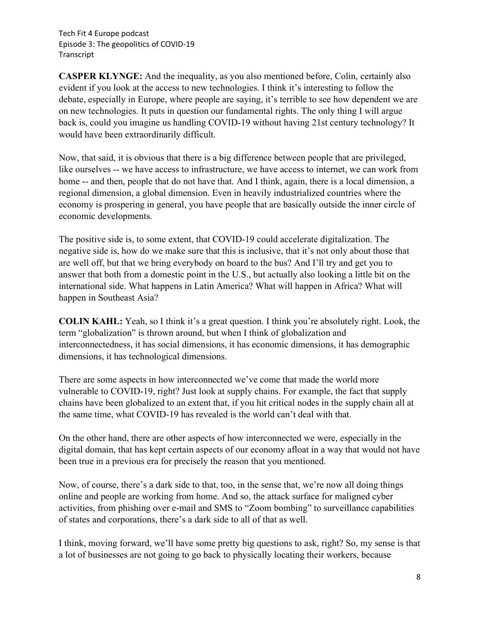**CASPER KLYNGE:** And the inequality, as you also mentioned before, Colin, certainly also evident if you look at the access to new technologies. I think it's interesting to follow the debate, especially in Europe, where people are saying, it's terrible to see how dependent we are on new technologies. It puts in question our fundamental rights. The only thing I will argue back is, could you imagine us handling COVID-19 without having 21st century technology? It would have been extraordinarily difficult.

Now, that said, it is obvious that there is a big difference between people that are privileged, like ourselves -- we have access to infrastructure, we have access to internet, we can work from home -- and then, people that do not have that. And I think, again, there is a local dimension, a regional dimension, a global dimension. Even in heavily industrialized countries where the economy is prospering in general, you have people that are basically outside the inner circle of economic developments.

The positive side is, to some extent, that COVID-19 could accelerate digitalization. The negative side is, how do we make sure that this is inclusive, that it's not only about those that are well off, but that we bring everybody on board to the bus? And I'll try and get you to answer that both from a domestic point in the U.S., but actually also looking a little bit on the international side. What happens in Latin America? What will happen in Africa? What will happen in Southeast Asia?

**COLIN KAHL:** Yeah, so I think it's a great question. I think you're absolutely right. Look, the term "globalization" is thrown around, but when I think of globalization and interconnectedness, it has social dimensions, it has economic dimensions, it has demographic dimensions, it has technological dimensions.

There are some aspects in how interconnected we've come that made the world more vulnerable to COVID-19, right? Just look at supply chains. For example, the fact that supply chains have been globalized to an extent that, if you hit critical nodes in the supply chain all at the same time, what COVID-19 has revealed is the world can't deal with that.

On the other hand, there are other aspects of how interconnected we were, especially in the digital domain, that has kept certain aspects of our economy afloat in a way that would not have been true in a previous era for precisely the reason that you mentioned.

Now, of course, there's a dark side to that, too, in the sense that, we're now all doing things online and people are working from home. And so, the attack surface for maligned cyber activities, from phishing over e-mail and SMS to "Zoom bombing" to surveillance capabilities of states and corporations, there's a dark side to all of that as well.

I think, moving forward, we'll have some pretty big questions to ask, right? So, my sense is that a lot of businesses are not going to go back to physically locating their workers, because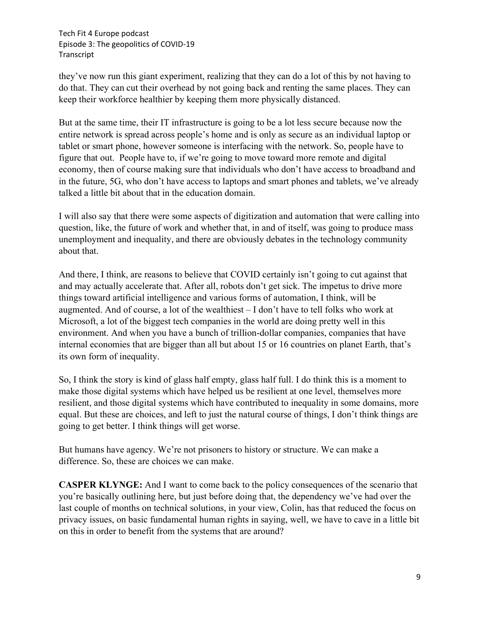they've now run this giant experiment, realizing that they can do a lot of this by not having to do that. They can cut their overhead by not going back and renting the same places. They can keep their workforce healthier by keeping them more physically distanced.

But at the same time, their IT infrastructure is going to be a lot less secure because now the entire network is spread across people's home and is only as secure as an individual laptop or tablet or smart phone, however someone is interfacing with the network. So, people have to figure that out. People have to, if we're going to move toward more remote and digital economy, then of course making sure that individuals who don't have access to broadband and in the future, 5G, who don't have access to laptops and smart phones and tablets, we've already talked a little bit about that in the education domain.

I will also say that there were some aspects of digitization and automation that were calling into question, like, the future of work and whether that, in and of itself, was going to produce mass unemployment and inequality, and there are obviously debates in the technology community about that.

And there, I think, are reasons to believe that COVID certainly isn't going to cut against that and may actually accelerate that. After all, robots don't get sick. The impetus to drive more things toward artificial intelligence and various forms of automation, I think, will be augmented. And of course, a lot of the wealthiest – I don't have to tell folks who work at Microsoft, a lot of the biggest tech companies in the world are doing pretty well in this environment. And when you have a bunch of trillion-dollar companies, companies that have internal economies that are bigger than all but about 15 or 16 countries on planet Earth, that's its own form of inequality.

So, I think the story is kind of glass half empty, glass half full. I do think this is a moment to make those digital systems which have helped us be resilient at one level, themselves more resilient, and those digital systems which have contributed to inequality in some domains, more equal. But these are choices, and left to just the natural course of things, I don't think things are going to get better. I think things will get worse.

But humans have agency. We're not prisoners to history or structure. We can make a difference. So, these are choices we can make.

**CASPER KLYNGE:** And I want to come back to the policy consequences of the scenario that you're basically outlining here, but just before doing that, the dependency we've had over the last couple of months on technical solutions, in your view, Colin, has that reduced the focus on privacy issues, on basic fundamental human rights in saying, well, we have to cave in a little bit on this in order to benefit from the systems that are around?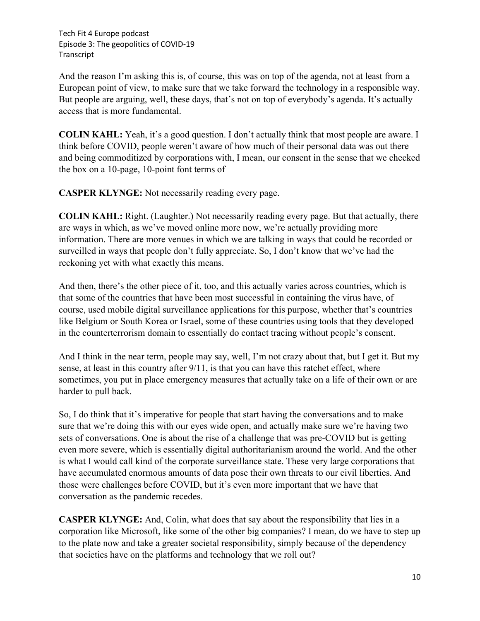And the reason I'm asking this is, of course, this was on top of the agenda, not at least from a European point of view, to make sure that we take forward the technology in a responsible way. But people are arguing, well, these days, that's not on top of everybody's agenda. It's actually access that is more fundamental.

**COLIN KAHL:** Yeah, it's a good question. I don't actually think that most people are aware. I think before COVID, people weren't aware of how much of their personal data was out there and being commoditized by corporations with, I mean, our consent in the sense that we checked the box on a 10-page, 10-point font terms of  $-$ 

**CASPER KLYNGE:** Not necessarily reading every page.

**COLIN KAHL:** Right. (Laughter.) Not necessarily reading every page. But that actually, there are ways in which, as we've moved online more now, we're actually providing more information. There are more venues in which we are talking in ways that could be recorded or surveilled in ways that people don't fully appreciate. So, I don't know that we've had the reckoning yet with what exactly this means.

And then, there's the other piece of it, too, and this actually varies across countries, which is that some of the countries that have been most successful in containing the virus have, of course, used mobile digital surveillance applications for this purpose, whether that's countries like Belgium or South Korea or Israel, some of these countries using tools that they developed in the counterterrorism domain to essentially do contact tracing without people's consent.

And I think in the near term, people may say, well, I'm not crazy about that, but I get it. But my sense, at least in this country after 9/11, is that you can have this ratchet effect, where sometimes, you put in place emergency measures that actually take on a life of their own or are harder to pull back.

So, I do think that it's imperative for people that start having the conversations and to make sure that we're doing this with our eyes wide open, and actually make sure we're having two sets of conversations. One is about the rise of a challenge that was pre-COVID but is getting even more severe, which is essentially digital authoritarianism around the world. And the other is what I would call kind of the corporate surveillance state. These very large corporations that have accumulated enormous amounts of data pose their own threats to our civil liberties. And those were challenges before COVID, but it's even more important that we have that conversation as the pandemic recedes.

**CASPER KLYNGE:** And, Colin, what does that say about the responsibility that lies in a corporation like Microsoft, like some of the other big companies? I mean, do we have to step up to the plate now and take a greater societal responsibility, simply because of the dependency that societies have on the platforms and technology that we roll out?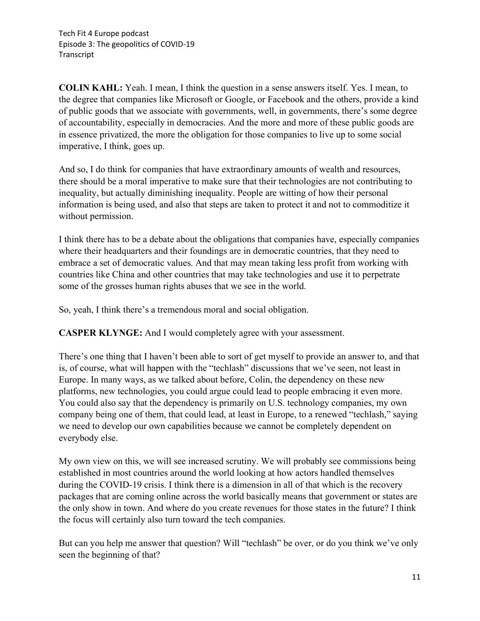**COLIN KAHL:** Yeah. I mean, I think the question in a sense answers itself. Yes. I mean, to the degree that companies like Microsoft or Google, or Facebook and the others, provide a kind of public goods that we associate with governments, well, in governments, there's some degree of accountability, especially in democracies. And the more and more of these public goods are in essence privatized, the more the obligation for those companies to live up to some social imperative, I think, goes up.

And so, I do think for companies that have extraordinary amounts of wealth and resources, there should be a moral imperative to make sure that their technologies are not contributing to inequality, but actually diminishing inequality. People are witting of how their personal information is being used, and also that steps are taken to protect it and not to commoditize it without permission.

I think there has to be a debate about the obligations that companies have, especially companies where their headquarters and their foundings are in democratic countries, that they need to embrace a set of democratic values. And that may mean taking less profit from working with countries like China and other countries that may take technologies and use it to perpetrate some of the grosses human rights abuses that we see in the world.

So, yeah, I think there's a tremendous moral and social obligation.

**CASPER KLYNGE:** And I would completely agree with your assessment.

There's one thing that I haven't been able to sort of get myself to provide an answer to, and that is, of course, what will happen with the "techlash" discussions that we've seen, not least in Europe. In many ways, as we talked about before, Colin, the dependency on these new platforms, new technologies, you could argue could lead to people embracing it even more. You could also say that the dependency is primarily on U.S. technology companies, my own company being one of them, that could lead, at least in Europe, to a renewed "techlash," saying we need to develop our own capabilities because we cannot be completely dependent on everybody else.

My own view on this, we will see increased scrutiny. We will probably see commissions being established in most countries around the world looking at how actors handled themselves during the COVID-19 crisis. I think there is a dimension in all of that which is the recovery packages that are coming online across the world basically means that government or states are the only show in town. And where do you create revenues for those states in the future? I think the focus will certainly also turn toward the tech companies.

But can you help me answer that question? Will "techlash" be over, or do you think we've only seen the beginning of that?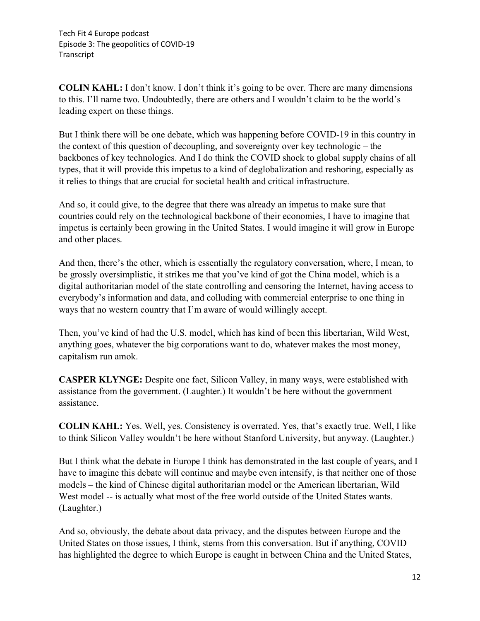**COLIN KAHL:** I don't know. I don't think it's going to be over. There are many dimensions to this. I'll name two. Undoubtedly, there are others and I wouldn't claim to be the world's leading expert on these things.

But I think there will be one debate, which was happening before COVID-19 in this country in the context of this question of decoupling, and sovereignty over key technologic – the backbones of key technologies. And I do think the COVID shock to global supply chains of all types, that it will provide this impetus to a kind of deglobalization and reshoring, especially as it relies to things that are crucial for societal health and critical infrastructure.

And so, it could give, to the degree that there was already an impetus to make sure that countries could rely on the technological backbone of their economies, I have to imagine that impetus is certainly been growing in the United States. I would imagine it will grow in Europe and other places.

And then, there's the other, which is essentially the regulatory conversation, where, I mean, to be grossly oversimplistic, it strikes me that you've kind of got the China model, which is a digital authoritarian model of the state controlling and censoring the Internet, having access to everybody's information and data, and colluding with commercial enterprise to one thing in ways that no western country that I'm aware of would willingly accept.

Then, you've kind of had the U.S. model, which has kind of been this libertarian, Wild West, anything goes, whatever the big corporations want to do, whatever makes the most money, capitalism run amok.

**CASPER KLYNGE:** Despite one fact, Silicon Valley, in many ways, were established with assistance from the government. (Laughter.) It wouldn't be here without the government assistance.

**COLIN KAHL:** Yes. Well, yes. Consistency is overrated. Yes, that's exactly true. Well, I like to think Silicon Valley wouldn't be here without Stanford University, but anyway. (Laughter.)

But I think what the debate in Europe I think has demonstrated in the last couple of years, and I have to imagine this debate will continue and maybe even intensify, is that neither one of those models – the kind of Chinese digital authoritarian model or the American libertarian, Wild West model -- is actually what most of the free world outside of the United States wants. (Laughter.)

And so, obviously, the debate about data privacy, and the disputes between Europe and the United States on those issues, I think, stems from this conversation. But if anything, COVID has highlighted the degree to which Europe is caught in between China and the United States,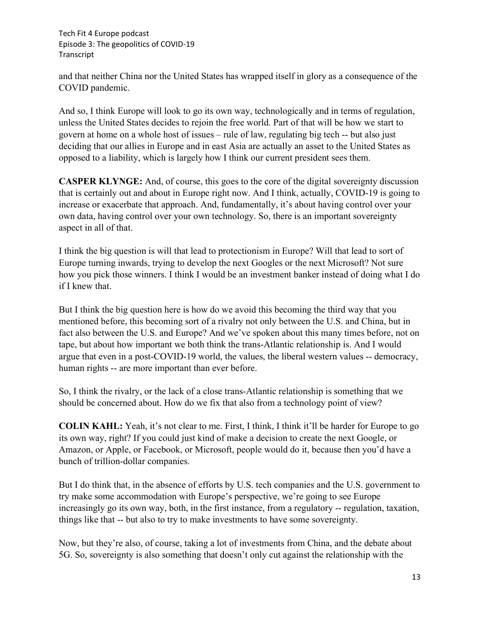and that neither China nor the United States has wrapped itself in glory as a consequence of the COVID pandemic.

And so, I think Europe will look to go its own way, technologically and in terms of regulation, unless the United States decides to rejoin the free world. Part of that will be how we start to govern at home on a whole host of issues – rule of law, regulating big tech -- but also just deciding that our allies in Europe and in east Asia are actually an asset to the United States as opposed to a liability, which is largely how I think our current president sees them.

**CASPER KLYNGE:** And, of course, this goes to the core of the digital sovereignty discussion that is certainly out and about in Europe right now. And I think, actually, COVID-19 is going to increase or exacerbate that approach. And, fundamentally, it's about having control over your own data, having control over your own technology. So, there is an important sovereignty aspect in all of that.

I think the big question is will that lead to protectionism in Europe? Will that lead to sort of Europe turning inwards, trying to develop the next Googles or the next Microsoft? Not sure how you pick those winners. I think I would be an investment banker instead of doing what I do if I knew that.

But I think the big question here is how do we avoid this becoming the third way that you mentioned before, this becoming sort of a rivalry not only between the U.S. and China, but in fact also between the U.S. and Europe? And we've spoken about this many times before, not on tape, but about how important we both think the trans-Atlantic relationship is. And I would argue that even in a post-COVID-19 world, the values, the liberal western values -- democracy, human rights -- are more important than ever before.

So, I think the rivalry, or the lack of a close trans-Atlantic relationship is something that we should be concerned about. How do we fix that also from a technology point of view?

**COLIN KAHL:** Yeah, it's not clear to me. First, I think, I think it'll be harder for Europe to go its own way, right? If you could just kind of make a decision to create the next Google, or Amazon, or Apple, or Facebook, or Microsoft, people would do it, because then you'd have a bunch of trillion-dollar companies.

But I do think that, in the absence of efforts by U.S. tech companies and the U.S. government to try make some accommodation with Europe's perspective, we're going to see Europe increasingly go its own way, both, in the first instance, from a regulatory -- regulation, taxation, things like that -- but also to try to make investments to have some sovereignty.

Now, but they're also, of course, taking a lot of investments from China, and the debate about 5G. So, sovereignty is also something that doesn't only cut against the relationship with the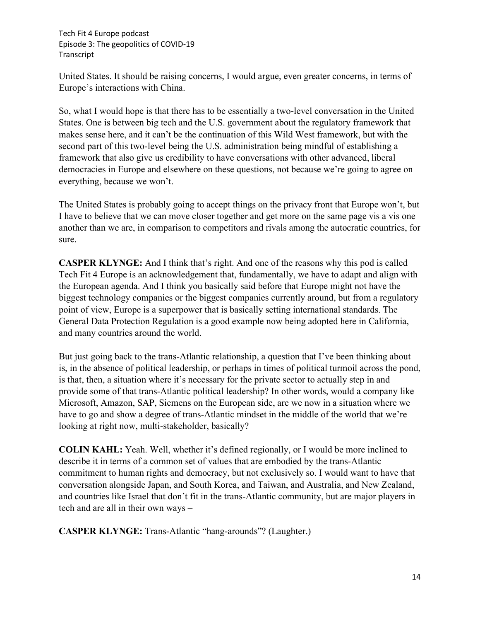United States. It should be raising concerns, I would argue, even greater concerns, in terms of Europe's interactions with China.

So, what I would hope is that there has to be essentially a two-level conversation in the United States. One is between big tech and the U.S. government about the regulatory framework that makes sense here, and it can't be the continuation of this Wild West framework, but with the second part of this two-level being the U.S. administration being mindful of establishing a framework that also give us credibility to have conversations with other advanced, liberal democracies in Europe and elsewhere on these questions, not because we're going to agree on everything, because we won't.

The United States is probably going to accept things on the privacy front that Europe won't, but I have to believe that we can move closer together and get more on the same page vis a vis one another than we are, in comparison to competitors and rivals among the autocratic countries, for sure.

**CASPER KLYNGE:** And I think that's right. And one of the reasons why this pod is called Tech Fit 4 Europe is an acknowledgement that, fundamentally, we have to adapt and align with the European agenda. And I think you basically said before that Europe might not have the biggest technology companies or the biggest companies currently around, but from a regulatory point of view, Europe is a superpower that is basically setting international standards. The General Data Protection Regulation is a good example now being adopted here in California, and many countries around the world.

But just going back to the trans-Atlantic relationship, a question that I've been thinking about is, in the absence of political leadership, or perhaps in times of political turmoil across the pond, is that, then, a situation where it's necessary for the private sector to actually step in and provide some of that trans-Atlantic political leadership? In other words, would a company like Microsoft, Amazon, SAP, Siemens on the European side, are we now in a situation where we have to go and show a degree of trans-Atlantic mindset in the middle of the world that we're looking at right now, multi-stakeholder, basically?

**COLIN KAHL:** Yeah. Well, whether it's defined regionally, or I would be more inclined to describe it in terms of a common set of values that are embodied by the trans-Atlantic commitment to human rights and democracy, but not exclusively so. I would want to have that conversation alongside Japan, and South Korea, and Taiwan, and Australia, and New Zealand, and countries like Israel that don't fit in the trans-Atlantic community, but are major players in tech and are all in their own ways –

**CASPER KLYNGE:** Trans-Atlantic "hang-arounds"? (Laughter.)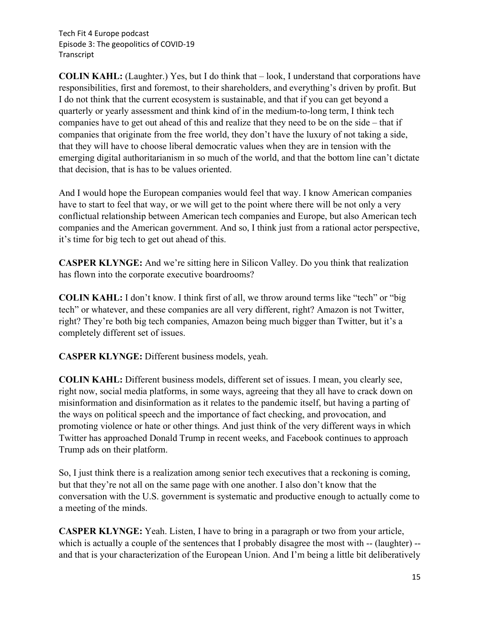**COLIN KAHL:** (Laughter.) Yes, but I do think that – look, I understand that corporations have responsibilities, first and foremost, to their shareholders, and everything's driven by profit. But I do not think that the current ecosystem is sustainable, and that if you can get beyond a quarterly or yearly assessment and think kind of in the medium-to-long term, I think tech companies have to get out ahead of this and realize that they need to be on the side – that if companies that originate from the free world, they don't have the luxury of not taking a side, that they will have to choose liberal democratic values when they are in tension with the emerging digital authoritarianism in so much of the world, and that the bottom line can't dictate that decision, that is has to be values oriented.

And I would hope the European companies would feel that way. I know American companies have to start to feel that way, or we will get to the point where there will be not only a very conflictual relationship between American tech companies and Europe, but also American tech companies and the American government. And so, I think just from a rational actor perspective, it's time for big tech to get out ahead of this.

**CASPER KLYNGE:** And we're sitting here in Silicon Valley. Do you think that realization has flown into the corporate executive boardrooms?

**COLIN KAHL:** I don't know. I think first of all, we throw around terms like "tech" or "big tech" or whatever, and these companies are all very different, right? Amazon is not Twitter, right? They're both big tech companies, Amazon being much bigger than Twitter, but it's a completely different set of issues.

**CASPER KLYNGE:** Different business models, yeah.

**COLIN KAHL:** Different business models, different set of issues. I mean, you clearly see, right now, social media platforms, in some ways, agreeing that they all have to crack down on misinformation and disinformation as it relates to the pandemic itself, but having a parting of the ways on political speech and the importance of fact checking, and provocation, and promoting violence or hate or other things. And just think of the very different ways in which Twitter has approached Donald Trump in recent weeks, and Facebook continues to approach Trump ads on their platform.

So, I just think there is a realization among senior tech executives that a reckoning is coming, but that they're not all on the same page with one another. I also don't know that the conversation with the U.S. government is systematic and productive enough to actually come to a meeting of the minds.

**CASPER KLYNGE:** Yeah. Listen, I have to bring in a paragraph or two from your article, which is actually a couple of the sentences that I probably disagree the most with -- (laughter) -and that is your characterization of the European Union. And I'm being a little bit deliberatively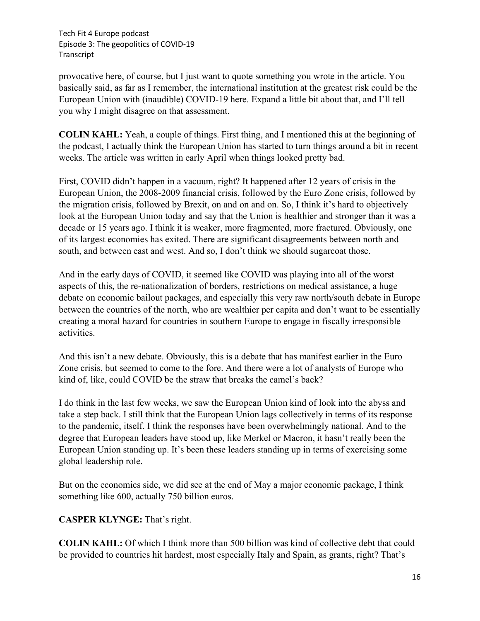provocative here, of course, but I just want to quote something you wrote in the article. You basically said, as far as I remember, the international institution at the greatest risk could be the European Union with (inaudible) COVID-19 here. Expand a little bit about that, and I'll tell you why I might disagree on that assessment.

**COLIN KAHL:** Yeah, a couple of things. First thing, and I mentioned this at the beginning of the podcast, I actually think the European Union has started to turn things around a bit in recent weeks. The article was written in early April when things looked pretty bad.

First, COVID didn't happen in a vacuum, right? It happened after 12 years of crisis in the European Union, the 2008-2009 financial crisis, followed by the Euro Zone crisis, followed by the migration crisis, followed by Brexit, on and on and on. So, I think it's hard to objectively look at the European Union today and say that the Union is healthier and stronger than it was a decade or 15 years ago. I think it is weaker, more fragmented, more fractured. Obviously, one of its largest economies has exited. There are significant disagreements between north and south, and between east and west. And so, I don't think we should sugarcoat those.

And in the early days of COVID, it seemed like COVID was playing into all of the worst aspects of this, the re-nationalization of borders, restrictions on medical assistance, a huge debate on economic bailout packages, and especially this very raw north/south debate in Europe between the countries of the north, who are wealthier per capita and don't want to be essentially creating a moral hazard for countries in southern Europe to engage in fiscally irresponsible activities.

And this isn't a new debate. Obviously, this is a debate that has manifest earlier in the Euro Zone crisis, but seemed to come to the fore. And there were a lot of analysts of Europe who kind of, like, could COVID be the straw that breaks the camel's back?

I do think in the last few weeks, we saw the European Union kind of look into the abyss and take a step back. I still think that the European Union lags collectively in terms of its response to the pandemic, itself. I think the responses have been overwhelmingly national. And to the degree that European leaders have stood up, like Merkel or Macron, it hasn't really been the European Union standing up. It's been these leaders standing up in terms of exercising some global leadership role.

But on the economics side, we did see at the end of May a major economic package, I think something like 600, actually 750 billion euros.

**CASPER KLYNGE:** That's right.

**COLIN KAHL:** Of which I think more than 500 billion was kind of collective debt that could be provided to countries hit hardest, most especially Italy and Spain, as grants, right? That's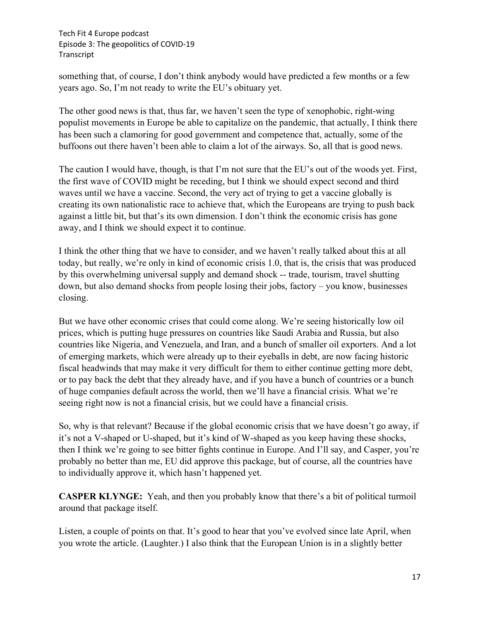something that, of course, I don't think anybody would have predicted a few months or a few years ago. So, I'm not ready to write the EU's obituary yet.

The other good news is that, thus far, we haven't seen the type of xenophobic, right-wing populist movements in Europe be able to capitalize on the pandemic, that actually, I think there has been such a clamoring for good government and competence that, actually, some of the buffoons out there haven't been able to claim a lot of the airways. So, all that is good news.

The caution I would have, though, is that I'm not sure that the EU's out of the woods yet. First, the first wave of COVID might be receding, but I think we should expect second and third waves until we have a vaccine. Second, the very act of trying to get a vaccine globally is creating its own nationalistic race to achieve that, which the Europeans are trying to push back against a little bit, but that's its own dimension. I don't think the economic crisis has gone away, and I think we should expect it to continue.

I think the other thing that we have to consider, and we haven't really talked about this at all today, but really, we're only in kind of economic crisis 1.0, that is, the crisis that was produced by this overwhelming universal supply and demand shock -- trade, tourism, travel shutting down, but also demand shocks from people losing their jobs, factory – you know, businesses closing.

But we have other economic crises that could come along. We're seeing historically low oil prices, which is putting huge pressures on countries like Saudi Arabia and Russia, but also countries like Nigeria, and Venezuela, and Iran, and a bunch of smaller oil exporters. And a lot of emerging markets, which were already up to their eyeballs in debt, are now facing historic fiscal headwinds that may make it very difficult for them to either continue getting more debt, or to pay back the debt that they already have, and if you have a bunch of countries or a bunch of huge companies default across the world, then we'll have a financial crisis. What we're seeing right now is not a financial crisis, but we could have a financial crisis.

So, why is that relevant? Because if the global economic crisis that we have doesn't go away, if it's not a V-shaped or U-shaped, but it's kind of W-shaped as you keep having these shocks, then I think we're going to see bitter fights continue in Europe. And I'll say, and Casper, you're probably no better than me, EU did approve this package, but of course, all the countries have to individually approve it, which hasn't happened yet.

**CASPER KLYNGE:** Yeah, and then you probably know that there's a bit of political turmoil around that package itself.

Listen, a couple of points on that. It's good to hear that you've evolved since late April, when you wrote the article. (Laughter.) I also think that the European Union is in a slightly better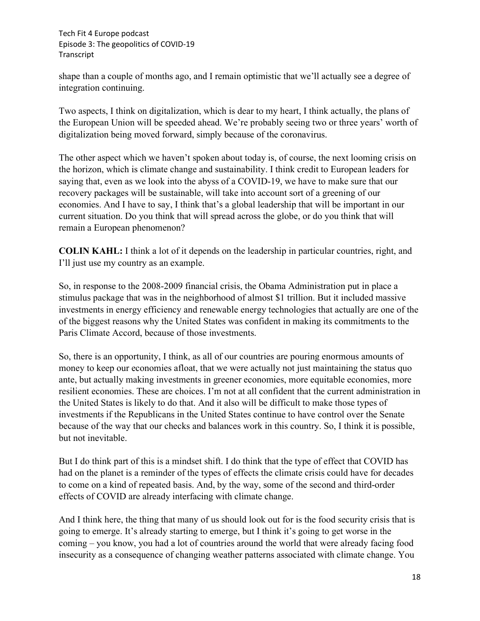shape than a couple of months ago, and I remain optimistic that we'll actually see a degree of integration continuing.

Two aspects, I think on digitalization, which is dear to my heart, I think actually, the plans of the European Union will be speeded ahead. We're probably seeing two or three years' worth of digitalization being moved forward, simply because of the coronavirus.

The other aspect which we haven't spoken about today is, of course, the next looming crisis on the horizon, which is climate change and sustainability. I think credit to European leaders for saying that, even as we look into the abyss of a COVID-19, we have to make sure that our recovery packages will be sustainable, will take into account sort of a greening of our economies. And I have to say, I think that's a global leadership that will be important in our current situation. Do you think that will spread across the globe, or do you think that will remain a European phenomenon?

**COLIN KAHL:** I think a lot of it depends on the leadership in particular countries, right, and I'll just use my country as an example.

So, in response to the 2008-2009 financial crisis, the Obama Administration put in place a stimulus package that was in the neighborhood of almost \$1 trillion. But it included massive investments in energy efficiency and renewable energy technologies that actually are one of the of the biggest reasons why the United States was confident in making its commitments to the Paris Climate Accord, because of those investments.

So, there is an opportunity, I think, as all of our countries are pouring enormous amounts of money to keep our economies afloat, that we were actually not just maintaining the status quo ante, but actually making investments in greener economies, more equitable economies, more resilient economies. These are choices. I'm not at all confident that the current administration in the United States is likely to do that. And it also will be difficult to make those types of investments if the Republicans in the United States continue to have control over the Senate because of the way that our checks and balances work in this country. So, I think it is possible, but not inevitable.

But I do think part of this is a mindset shift. I do think that the type of effect that COVID has had on the planet is a reminder of the types of effects the climate crisis could have for decades to come on a kind of repeated basis. And, by the way, some of the second and third-order effects of COVID are already interfacing with climate change.

And I think here, the thing that many of us should look out for is the food security crisis that is going to emerge. It's already starting to emerge, but I think it's going to get worse in the coming – you know, you had a lot of countries around the world that were already facing food insecurity as a consequence of changing weather patterns associated with climate change. You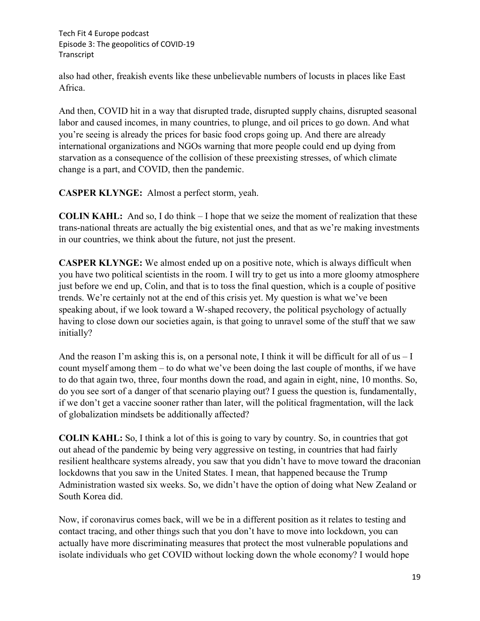also had other, freakish events like these unbelievable numbers of locusts in places like East Africa.

And then, COVID hit in a way that disrupted trade, disrupted supply chains, disrupted seasonal labor and caused incomes, in many countries, to plunge, and oil prices to go down. And what you're seeing is already the prices for basic food crops going up. And there are already international organizations and NGOs warning that more people could end up dying from starvation as a consequence of the collision of these preexisting stresses, of which climate change is a part, and COVID, then the pandemic.

**CASPER KLYNGE:** Almost a perfect storm, yeah.

**COLIN KAHL:** And so, I do think – I hope that we seize the moment of realization that these trans-national threats are actually the big existential ones, and that as we're making investments in our countries, we think about the future, not just the present.

**CASPER KLYNGE:** We almost ended up on a positive note, which is always difficult when you have two political scientists in the room. I will try to get us into a more gloomy atmosphere just before we end up, Colin, and that is to toss the final question, which is a couple of positive trends. We're certainly not at the end of this crisis yet. My question is what we've been speaking about, if we look toward a W-shaped recovery, the political psychology of actually having to close down our societies again, is that going to unravel some of the stuff that we saw initially?

And the reason I'm asking this is, on a personal note, I think it will be difficult for all of us  $-I$ count myself among them – to do what we've been doing the last couple of months, if we have to do that again two, three, four months down the road, and again in eight, nine, 10 months. So, do you see sort of a danger of that scenario playing out? I guess the question is, fundamentally, if we don't get a vaccine sooner rather than later, will the political fragmentation, will the lack of globalization mindsets be additionally affected?

**COLIN KAHL:** So, I think a lot of this is going to vary by country. So, in countries that got out ahead of the pandemic by being very aggressive on testing, in countries that had fairly resilient healthcare systems already, you saw that you didn't have to move toward the draconian lockdowns that you saw in the United States. I mean, that happened because the Trump Administration wasted six weeks. So, we didn't have the option of doing what New Zealand or South Korea did.

Now, if coronavirus comes back, will we be in a different position as it relates to testing and contact tracing, and other things such that you don't have to move into lockdown, you can actually have more discriminating measures that protect the most vulnerable populations and isolate individuals who get COVID without locking down the whole economy? I would hope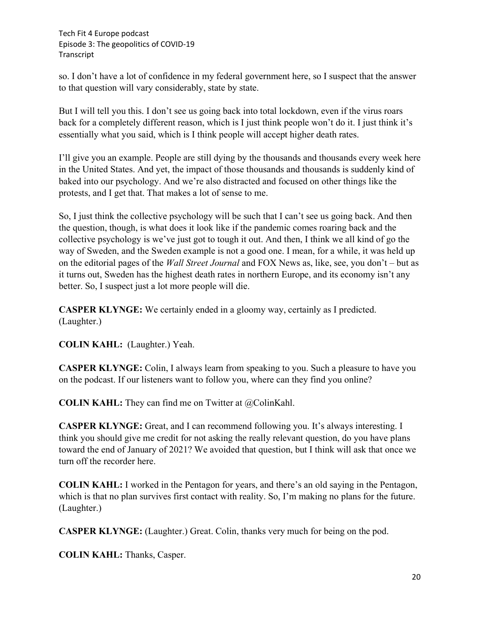so. I don't have a lot of confidence in my federal government here, so I suspect that the answer to that question will vary considerably, state by state.

But I will tell you this. I don't see us going back into total lockdown, even if the virus roars back for a completely different reason, which is I just think people won't do it. I just think it's essentially what you said, which is I think people will accept higher death rates.

I'll give you an example. People are still dying by the thousands and thousands every week here in the United States. And yet, the impact of those thousands and thousands is suddenly kind of baked into our psychology. And we're also distracted and focused on other things like the protests, and I get that. That makes a lot of sense to me.

So, I just think the collective psychology will be such that I can't see us going back. And then the question, though, is what does it look like if the pandemic comes roaring back and the collective psychology is we've just got to tough it out. And then, I think we all kind of go the way of Sweden, and the Sweden example is not a good one. I mean, for a while, it was held up on the editorial pages of the *Wall Street Journal* and FOX News as, like, see, you don't – but as it turns out, Sweden has the highest death rates in northern Europe, and its economy isn't any better. So, I suspect just a lot more people will die.

**CASPER KLYNGE:** We certainly ended in a gloomy way, certainly as I predicted. (Laughter.)

**COLIN KAHL:** (Laughter.) Yeah.

**CASPER KLYNGE:** Colin, I always learn from speaking to you. Such a pleasure to have you on the podcast. If our listeners want to follow you, where can they find you online?

**COLIN KAHL:** They can find me on Twitter at @ColinKahl.

**CASPER KLYNGE:** Great, and I can recommend following you. It's always interesting. I think you should give me credit for not asking the really relevant question, do you have plans toward the end of January of 2021? We avoided that question, but I think will ask that once we turn off the recorder here.

**COLIN KAHL:** I worked in the Pentagon for years, and there's an old saying in the Pentagon, which is that no plan survives first contact with reality. So, I'm making no plans for the future. (Laughter.)

**CASPER KLYNGE:** (Laughter.) Great. Colin, thanks very much for being on the pod.

**COLIN KAHL:** Thanks, Casper.